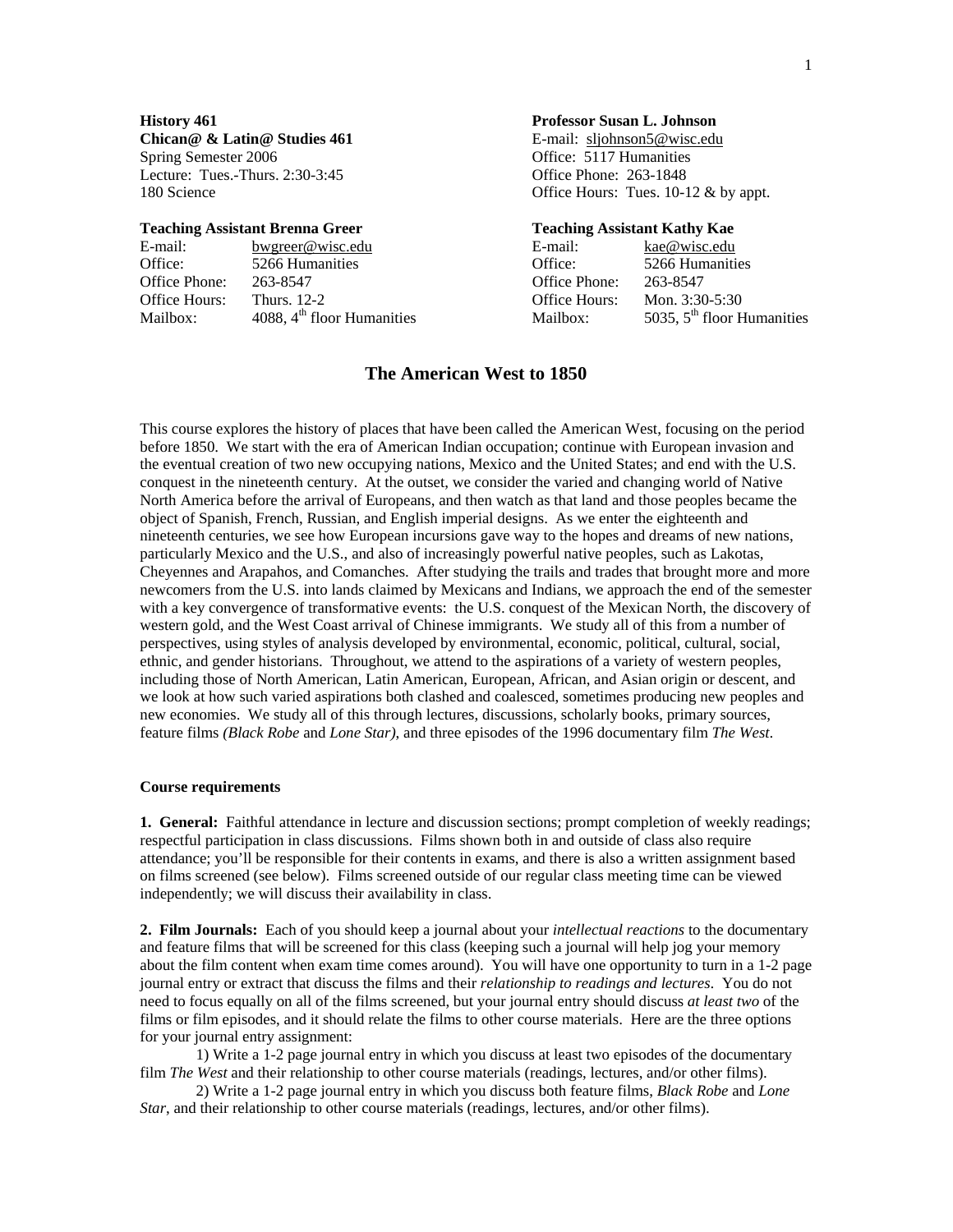**Chican@ & Latin@ Studies 461** E-mail: sljohnson5@wisc.edu Spring Semester 2006 Contract Contract Contract Contract Contract Contract Office: 5117 Humanities Lecture: Tues.-Thurs. 2:30-3:45 Office Phone: 263-1848

#### **Teaching Assistant Brenna Greer Teaching Assistant Kathy Kae**

| E-mail:       | bwgreer@wisc.edu             | E-mail:       | kae@wisc.edu                 |
|---------------|------------------------------|---------------|------------------------------|
| Office:       | 5266 Humanities              | Office:       | 5266 Humanities              |
| Office Phone: | 263-8547                     | Office Phone: | 263-8547                     |
| Office Hours: | <b>Thurs.</b> 12-2           | Office Hours: | Mon. $3:30-5:30$             |
| Mailbox:      | 4088, $4th$ floor Humanities | Mailbox:      | 5035, $5th$ floor Humanities |

## **History 461 Professor Susan L. Johnson**

180 Science **Office Hours:** Tues. 10-12 & by appt.

| l-mail:              | kae@wisc.edu                 |
|----------------------|------------------------------|
| )ffice:              | 5266 Humanities              |
| )ffice Phone:        | 263-8547                     |
| <b>Office Hours:</b> | Mon. $3:30-5:30$             |
| Aailbox:             | 5035, $5th$ floor Humanities |
|                      |                              |

## **The American West to 1850**

This course explores the history of places that have been called the American West, focusing on the period before 1850. We start with the era of American Indian occupation; continue with European invasion and the eventual creation of two new occupying nations, Mexico and the United States; and end with the U.S. conquest in the nineteenth century. At the outset, we consider the varied and changing world of Native North America before the arrival of Europeans, and then watch as that land and those peoples became the object of Spanish, French, Russian, and English imperial designs. As we enter the eighteenth and nineteenth centuries, we see how European incursions gave way to the hopes and dreams of new nations, particularly Mexico and the U.S., and also of increasingly powerful native peoples, such as Lakotas, Cheyennes and Arapahos, and Comanches. After studying the trails and trades that brought more and more newcomers from the U.S. into lands claimed by Mexicans and Indians, we approach the end of the semester with a key convergence of transformative events: the U.S. conquest of the Mexican North, the discovery of western gold, and the West Coast arrival of Chinese immigrants. We study all of this from a number of perspectives, using styles of analysis developed by environmental, economic, political, cultural, social, ethnic, and gender historians. Throughout, we attend to the aspirations of a variety of western peoples, including those of North American, Latin American, European, African, and Asian origin or descent, and we look at how such varied aspirations both clashed and coalesced, sometimes producing new peoples and new economies. We study all of this through lectures, discussions, scholarly books, primary sources, feature films *(Black Robe* and *Lone Star)*, and three episodes of the 1996 documentary film *The West*.

#### **Course requirements**

**1. General:** Faithful attendance in lecture and discussion sections; prompt completion of weekly readings; respectful participation in class discussions. Films shown both in and outside of class also require attendance; you'll be responsible for their contents in exams, and there is also a written assignment based on films screened (see below). Films screened outside of our regular class meeting time can be viewed independently; we will discuss their availability in class.

**2. Film Journals:** Each of you should keep a journal about your *intellectual reactions* to the documentary and feature films that will be screened for this class (keeping such a journal will help jog your memory about the film content when exam time comes around). You will have one opportunity to turn in a 1-2 page journal entry or extract that discuss the films and their *relationship to readings and lectures*. You do not need to focus equally on all of the films screened, but your journal entry should discuss *at least two* of the films or film episodes, and it should relate the films to other course materials. Here are the three options for your journal entry assignment:

1) Write a 1-2 page journal entry in which you discuss at least two episodes of the documentary film *The West* and their relationship to other course materials (readings, lectures, and/or other films).

2) Write a 1-2 page journal entry in which you discuss both feature films, *Black Robe* and *Lone Star*, and their relationship to other course materials (readings, lectures, and/or other films).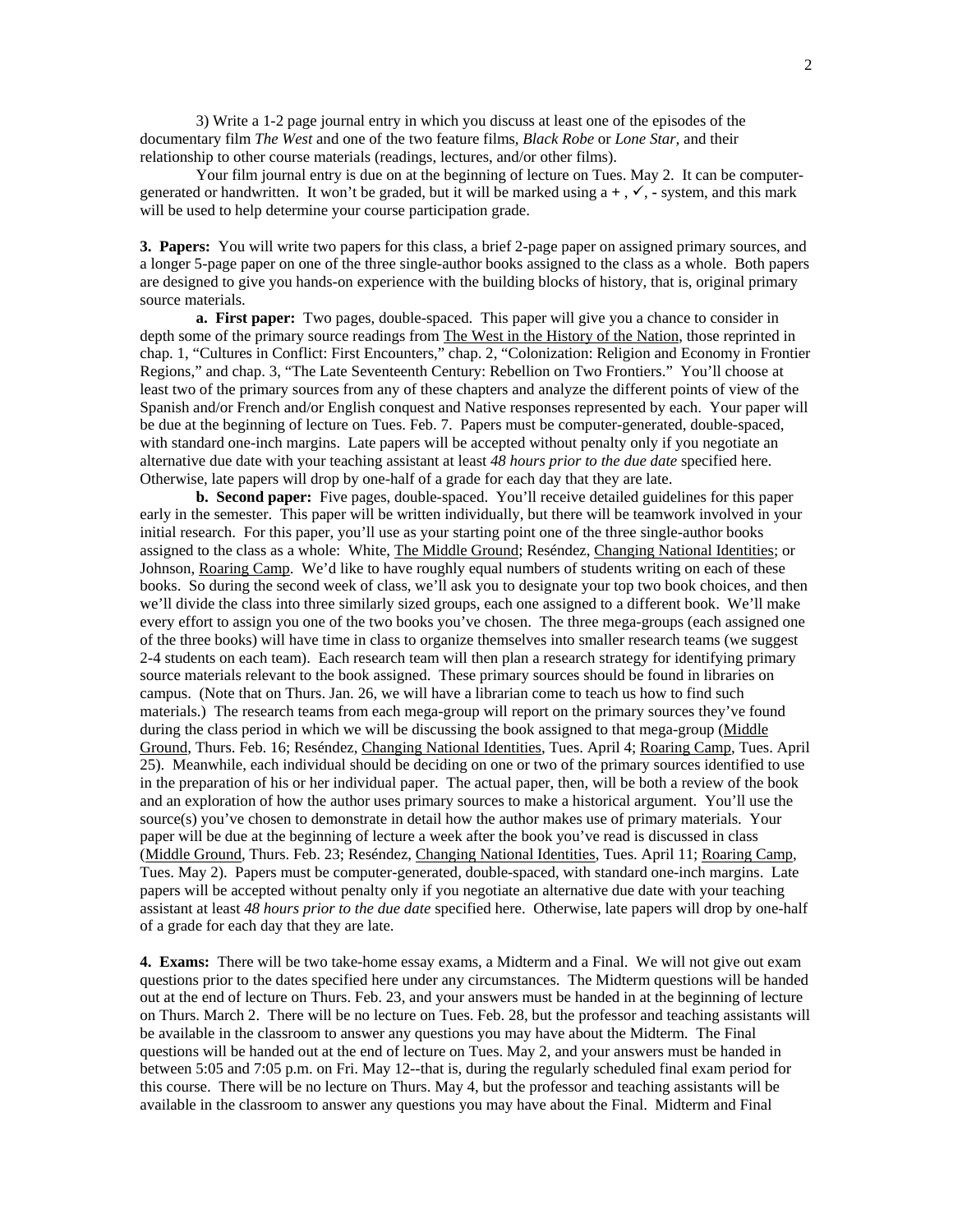3) Write a 1-2 page journal entry in which you discuss at least one of the episodes of the documentary film *The West* and one of the two feature films, *Black Robe* or *Lone Star,* and their relationship to other course materials (readings, lectures, and/or other films).

Your film journal entry is due on at the beginning of lecture on Tues. May 2.It can be computergenerated or handwritten. It won't be graded, but it will be marked using  $a +$ ,  $\checkmark$ ,  $\checkmark$ , system, and this mark will be used to help determine your course participation grade.

**3. Papers:** You will write two papers for this class, a brief 2-page paper on assigned primary sources, and a longer 5-page paper on one of the three single-author books assigned to the class as a whole. Both papers are designed to give you hands-on experience with the building blocks of history, that is, original primary source materials.

**a. First paper:** Two pages, double-spaced. This paper will give you a chance to consider in depth some of the primary source readings from The West in the History of the Nation, those reprinted in chap. 1, "Cultures in Conflict: First Encounters," chap. 2, "Colonization: Religion and Economy in Frontier Regions," and chap. 3, "The Late Seventeenth Century: Rebellion on Two Frontiers." You'll choose at least two of the primary sources from any of these chapters and analyze the different points of view of the Spanish and/or French and/or English conquest and Native responses represented by each. Your paper will be due at the beginning of lecture on Tues. Feb. 7.Papers must be computer-generated, double-spaced, with standard one-inch margins. Late papers will be accepted without penalty only if you negotiate an alternative due date with your teaching assistant at least *48 hours prior to the due date* specified here. Otherwise, late papers will drop by one-half of a grade for each day that they are late.

**b. Second paper:** Five pages, double-spaced. You'll receive detailed guidelines for this paper early in the semester. This paper will be written individually, but there will be teamwork involved in your initial research. For this paper, you'll use as your starting point one of the three single-author books assigned to the class as a whole: White, The Middle Ground; Reséndez, Changing National Identities; or Johnson, Roaring Camp. We'd like to have roughly equal numbers of students writing on each of these books. So during the second week of class, we'll ask you to designate your top two book choices, and then we'll divide the class into three similarly sized groups, each one assigned to a different book. We'll make every effort to assign you one of the two books you've chosen. The three mega-groups (each assigned one of the three books) will have time in class to organize themselves into smaller research teams (we suggest 2-4 students on each team). Each research team will then plan a research strategy for identifying primary source materials relevant to the book assigned. These primary sources should be found in libraries on campus. (Note that on Thurs. Jan. 26, we will have a librarian come to teach us how to find such materials.) The research teams from each mega-group will report on the primary sources they've found during the class period in which we will be discussing the book assigned to that mega-group (Middle Ground, Thurs. Feb. 16; Reséndez, Changing National Identities, Tues. April 4; Roaring Camp, Tues. April 25). Meanwhile, each individual should be deciding on one or two of the primary sources identified to use in the preparation of his or her individual paper. The actual paper, then, will be both a review of the book and an exploration of how the author uses primary sources to make a historical argument. You'll use the source(s) you've chosen to demonstrate in detail how the author makes use of primary materials. Your paper will be due at the beginning of lecture a week after the book you've read is discussed in class (Middle Ground, Thurs. Feb. 23; Reséndez, Changing National Identities, Tues. April 11; Roaring Camp, Tues. May 2). Papers must be computer-generated, double-spaced, with standard one-inch margins. Late papers will be accepted without penalty only if you negotiate an alternative due date with your teaching assistant at least *48 hours prior to the due date* specified here. Otherwise, late papers will drop by one-half of a grade for each day that they are late.

**4. Exams:** There will be two take-home essay exams, a Midterm and a Final. We will not give out exam questions prior to the dates specified here under any circumstances. The Midterm questions will be handed out at the end of lecture on Thurs. Feb. 23, and your answers must be handed in at the beginning of lecture on Thurs. March 2. There will be no lecture on Tues. Feb. 28, but the professor and teaching assistants will be available in the classroom to answer any questions you may have about the Midterm. The Final questions will be handed out at the end of lecture on Tues. May 2, and your answers must be handed in between 5:05 and 7:05 p.m. on Fri. May 12--that is, during the regularly scheduled final exam period for this course. There will be no lecture on Thurs. May 4, but the professor and teaching assistants will be available in the classroom to answer any questions you may have about the Final. Midterm and Final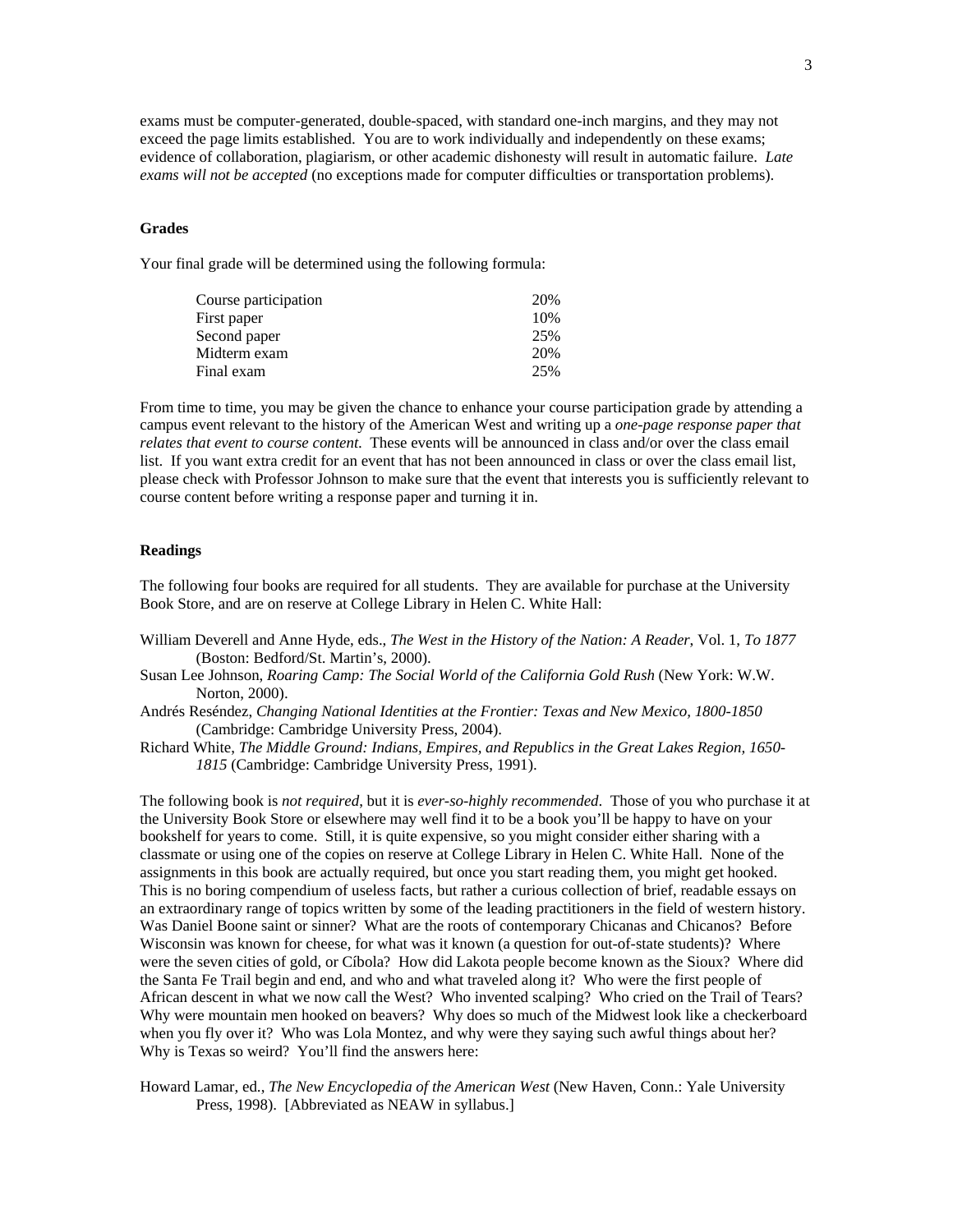exams must be computer-generated, double-spaced, with standard one-inch margins, and they may not exceed the page limits established. You are to work individually and independently on these exams; evidence of collaboration, plagiarism, or other academic dishonesty will result in automatic failure. *Late exams will not be accepted* (no exceptions made for computer difficulties or transportation problems).

#### **Grades**

Your final grade will be determined using the following formula:

| 20% |
|-----|
| 10% |
| 25% |
| 20% |
| 25% |
|     |

From time to time, you may be given the chance to enhance your course participation grade by attending a campus event relevant to the history of the American West and writing up a *one-page response paper that relates that event to course content*. These events will be announced in class and/or over the class email list. If you want extra credit for an event that has not been announced in class or over the class email list, please check with Professor Johnson to make sure that the event that interests you is sufficiently relevant to course content before writing a response paper and turning it in.

#### **Readings**

The following four books are required for all students. They are available for purchase at the University Book Store, and are on reserve at College Library in Helen C. White Hall:

- William Deverell and Anne Hyde, eds., *The West in the History of the Nation: A Reader*, Vol. 1, *To 1877* (Boston: Bedford/St. Martin's, 2000).
- Susan Lee Johnson, *Roaring Camp: The Social World of the California Gold Rush* (New York: W.W. Norton, 2000).
- Andrés Reséndez, *Changing National Identities at the Frontier: Texas and New Mexico, 1800-1850* (Cambridge: Cambridge University Press, 2004).
- Richard White, *The Middle Ground: Indians, Empires, and Republics in the Great Lakes Region, 1650- 1815* (Cambridge: Cambridge University Press, 1991).

The following book is *not required*, but it is *ever-so-highly recommended*. Those of you who purchase it at the University Book Store or elsewhere may well find it to be a book you'll be happy to have on your bookshelf for years to come. Still, it is quite expensive, so you might consider either sharing with a classmate or using one of the copies on reserve at College Library in Helen C. White Hall. None of the assignments in this book are actually required, but once you start reading them, you might get hooked. This is no boring compendium of useless facts, but rather a curious collection of brief, readable essays on an extraordinary range of topics written by some of the leading practitioners in the field of western history. Was Daniel Boone saint or sinner? What are the roots of contemporary Chicanas and Chicanos? Before Wisconsin was known for cheese, for what was it known (a question for out-of-state students)? Where were the seven cities of gold, or Cíbola? How did Lakota people become known as the Sioux? Where did the Santa Fe Trail begin and end, and who and what traveled along it? Who were the first people of African descent in what we now call the West? Who invented scalping? Who cried on the Trail of Tears? Why were mountain men hooked on beavers? Why does so much of the Midwest look like a checkerboard when you fly over it? Who was Lola Montez, and why were they saying such awful things about her? Why is Texas so weird? You'll find the answers here:

Howard Lamar, ed., *The New Encyclopedia of the American West* (New Haven, Conn.: Yale University Press, 1998). [Abbreviated as NEAW in syllabus.]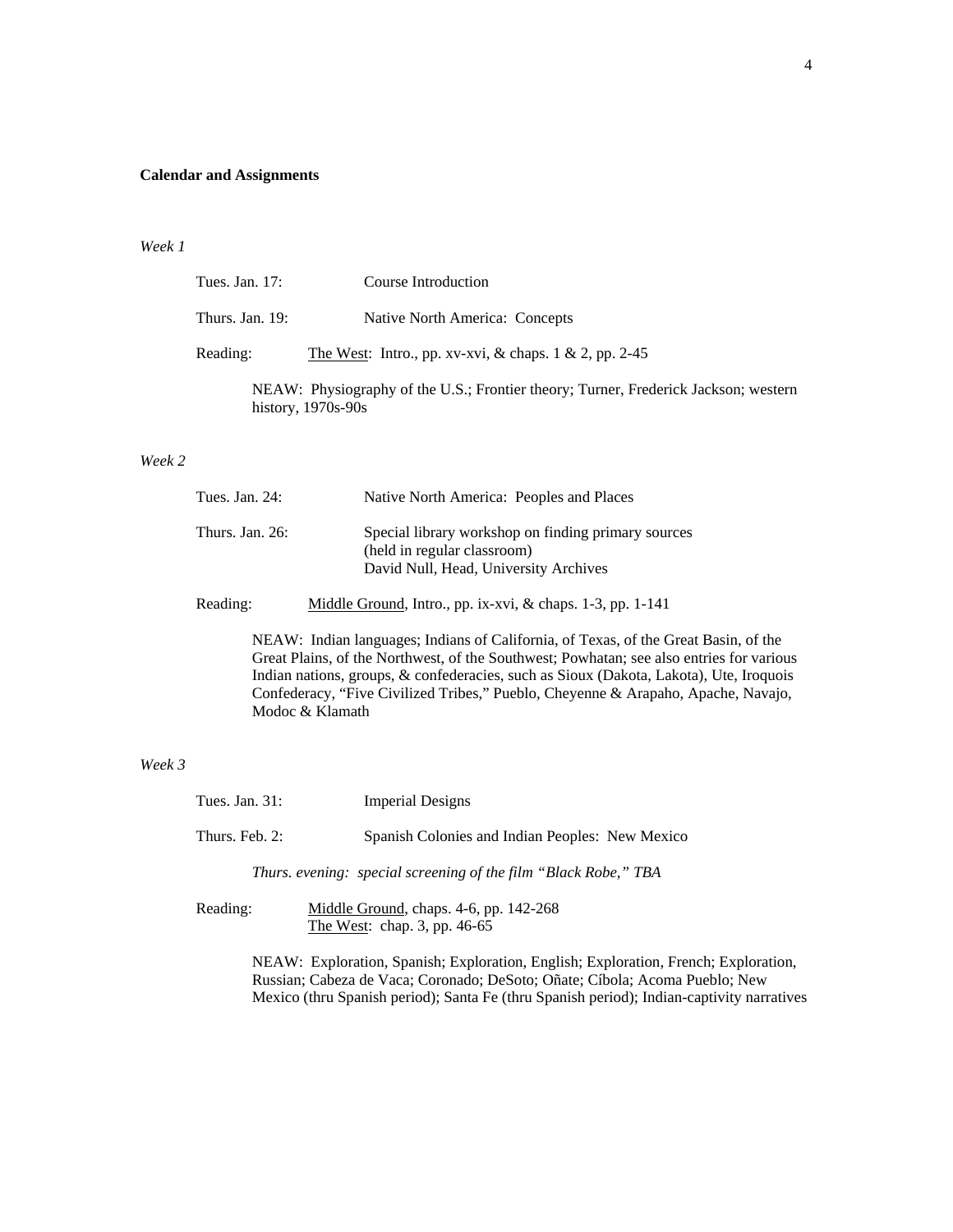## **Calendar and Assignments**

#### *Week 1*

| Tues. Jan. 17:  | Course Introduction                                                                                         |
|-----------------|-------------------------------------------------------------------------------------------------------------|
| Thurs. Jan. 19: | Native North America: Concepts                                                                              |
| Reading:        | The West: Intro., pp. xv-xvi, & chaps. $1 \& 2$ , pp. 2-45                                                  |
|                 | NEAW: Physiography of the U.S.; Frontier theory; Turner, Frederick Jackson; western<br>history, $1970s-90s$ |

# *Week 2*

| Tues. Jan. $24$ : | Native North America: Peoples and Places                                                                                    |
|-------------------|-----------------------------------------------------------------------------------------------------------------------------|
| Thurs. Jan. 26:   | Special library workshop on finding primary sources<br>(held in regular classroom)<br>David Null, Head, University Archives |

Reading: Middle Ground, Intro., pp. ix-xvi, & chaps. 1-3, pp. 1-141

NEAW: Indian languages; Indians of California, of Texas, of the Great Basin, of the Great Plains, of the Northwest, of the Southwest; Powhatan; see also entries for various Indian nations, groups, & confederacies, such as Sioux (Dakota, Lakota), Ute, Iroquois Confederacy, "Five Civilized Tribes," Pueblo, Cheyenne & Arapaho, Apache, Navajo, Modoc & Klamath

# *Week 3*

| Tues. Jan. $31$ : | <b>Imperial Designs</b>                                                                                                                                                                                                                                                                                                                                                                                                |
|-------------------|------------------------------------------------------------------------------------------------------------------------------------------------------------------------------------------------------------------------------------------------------------------------------------------------------------------------------------------------------------------------------------------------------------------------|
| Thurs. Feb. 2:    | Spanish Colonies and Indian Peoples: New Mexico                                                                                                                                                                                                                                                                                                                                                                        |
|                   | Thurs. evening: special screening of the film "Black Robe," TBA                                                                                                                                                                                                                                                                                                                                                        |
| Reading:          | Middle Ground, chaps. 4-6, pp. 142-268<br>The West: chap. 3, pp. $46-65$                                                                                                                                                                                                                                                                                                                                               |
|                   | $\mathbf{M} \mathbf{D} \mathbf{M} \mathbf{U} \mathbf{D} \mathbf{I} \mathbf{U} \mathbf{I} \mathbf{I} \mathbf{I} \mathbf{I} \mathbf{I} \mathbf{I} \mathbf{I} \mathbf{I} \mathbf{I} \mathbf{I} \mathbf{I} \mathbf{I} \mathbf{I} \mathbf{I} \mathbf{I} \mathbf{I} \mathbf{I} \mathbf{I} \mathbf{I} \mathbf{I} \mathbf{I} \mathbf{I} \mathbf{I} \mathbf{I} \mathbf{I} \mathbf{I} \mathbf{I} \mathbf{I} \mathbf{I} \mathbf{$ |

NEAW: Exploration, Spanish; Exploration, English; Exploration, French; Exploration, Russian; Cabeza de Vaca; Coronado; DeSoto; Oñate; Cíbola; Acoma Pueblo; New Mexico (thru Spanish period); Santa Fe (thru Spanish period); Indian-captivity narratives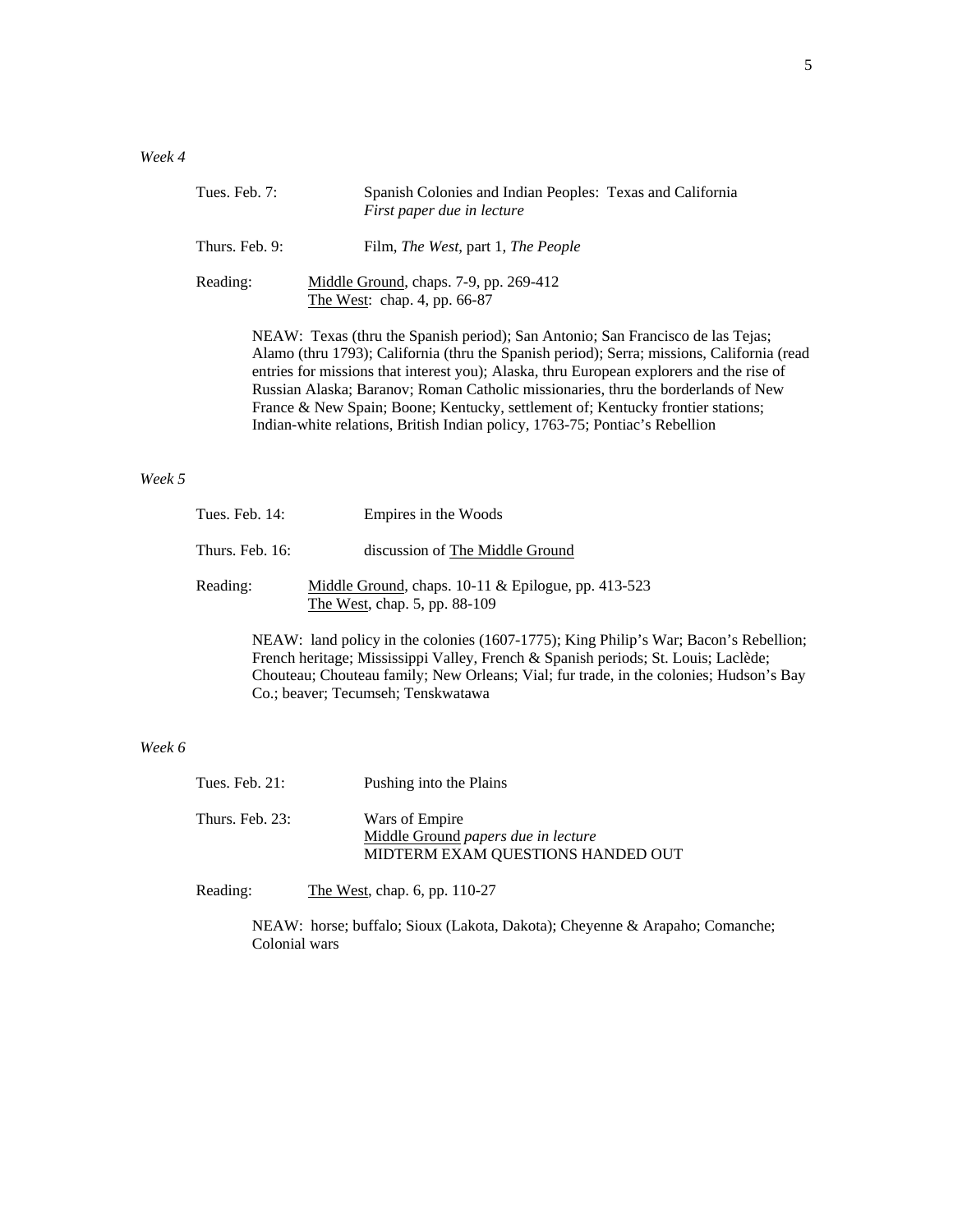| Tues. Feb. $7:$ | Spanish Colonies and Indian Peoples: Texas and California<br>First paper due in lecture |
|-----------------|-----------------------------------------------------------------------------------------|
| Thurs. Feb. 9:  | Film, <i>The West</i> , part 1, <i>The People</i>                                       |
| Reading:        | Middle Ground, chaps. 7-9, pp. 269-412<br>The West: chap. 4, pp. 66-87                  |

NEAW: Texas (thru the Spanish period); San Antonio; San Francisco de las Tejas; Alamo (thru 1793); California (thru the Spanish period); Serra; missions, California (read entries for missions that interest you); Alaska, thru European explorers and the rise of Russian Alaska; Baranov; Roman Catholic missionaries, thru the borderlands of New France & New Spain; Boone; Kentucky, settlement of; Kentucky frontier stations; Indian-white relations, British Indian policy, 1763-75; Pontiac's Rebellion

## *Week 5*

| Tues. Feb. $14$ : | Empires in the Woods                                                                   |  |
|-------------------|----------------------------------------------------------------------------------------|--|
| Thurs. Feb. 16:   | discussion of The Middle Ground                                                        |  |
| Reading:          | Middle Ground, chaps. $10-11$ & Epilogue, pp. 413-523<br>The West, chap. 5, pp. 88-109 |  |

NEAW: land policy in the colonies (1607-1775); King Philip's War; Bacon's Rebellion; French heritage; Mississippi Valley, French & Spanish periods; St. Louis; Laclède; Chouteau; Chouteau family; New Orleans; Vial; fur trade, in the colonies; Hudson's Bay Co.; beaver; Tecumseh; Tenskwatawa

## *Week 6*

| Tues. Feb. $21$ : | Pushing into the Plains                                                                           |
|-------------------|---------------------------------------------------------------------------------------------------|
| Thurs. Feb. 23:   | Wars of Empire<br>Middle Ground <i>papers due in lecture</i><br>MIDTERM EXAM QUESTIONS HANDED OUT |

Reading: The West, chap. 6, pp. 110-27

NEAW: horse; buffalo; Sioux (Lakota, Dakota); Cheyenne & Arapaho; Comanche; Colonial wars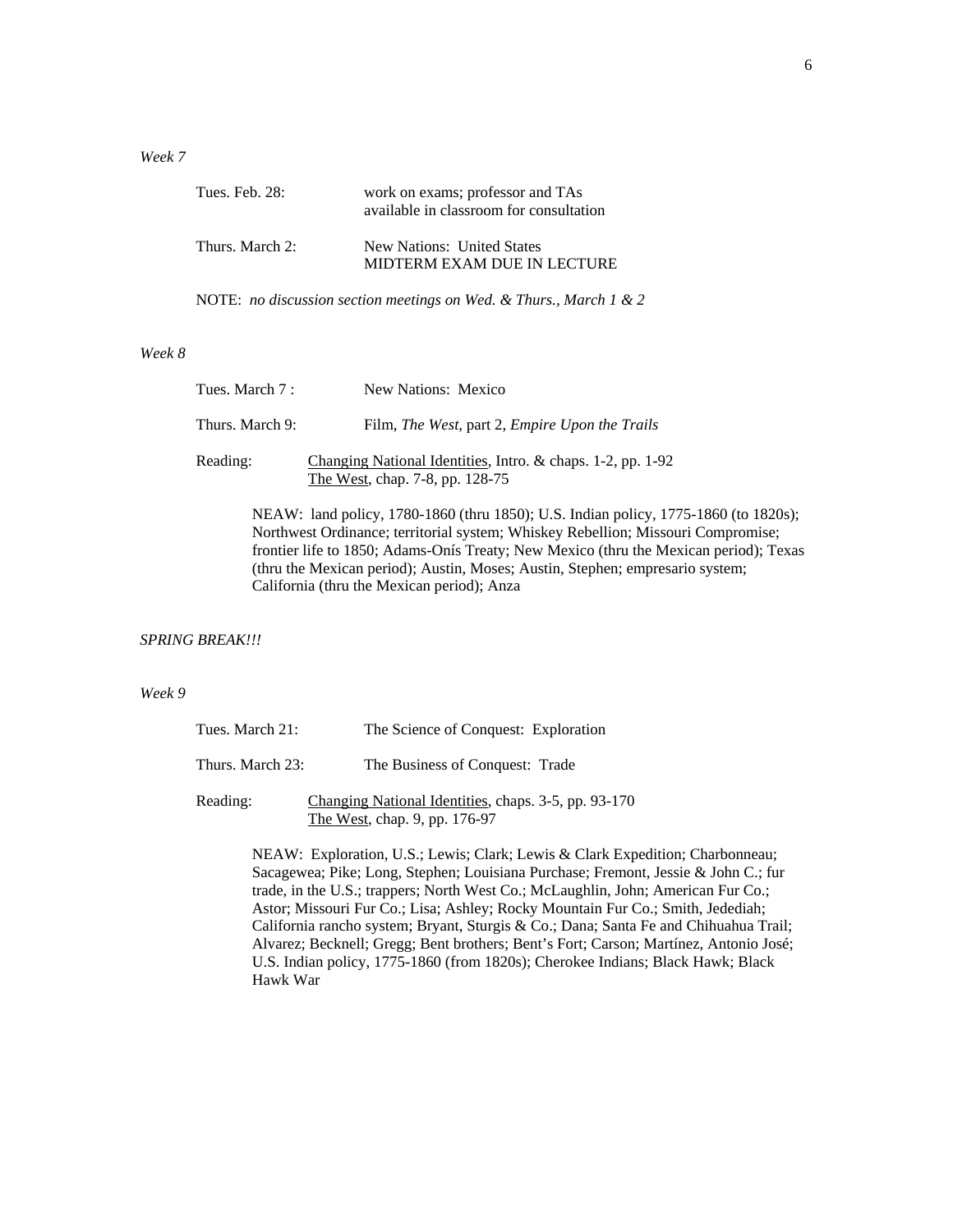## *Week 7*

| Tues. Feb. 28:  | work on exams; professor and TAs<br>available in classroom for consultation |
|-----------------|-----------------------------------------------------------------------------|
| Thurs. March 2: | New Nations: United States<br>MIDTERM EXAM DUE IN LECTURE                   |

NOTE: *no discussion section meetings on Wed. & Thurs., March 1 & 2*

#### *Week 8*

| Tues. March 7 : | New Nations: Mexico                                                                            |  |
|-----------------|------------------------------------------------------------------------------------------------|--|
| Thurs. March 9: | Film, The West, part 2, Empire Upon the Trails                                                 |  |
| Reading:        | Changing National Identities, Intro. & chaps. 1-2, pp. 1-92<br>The West, chap. 7-8, pp. 128-75 |  |

NEAW: land policy, 1780-1860 (thru 1850); U.S. Indian policy, 1775-1860 (to 1820s); Northwest Ordinance; territorial system; Whiskey Rebellion; Missouri Compromise; frontier life to 1850; Adams-Onís Treaty; New Mexico (thru the Mexican period); Texas (thru the Mexican period); Austin, Moses; Austin, Stephen; empresario system; California (thru the Mexican period); Anza

#### *SPRING BREAK!!!*

#### *Week 9*

| Tues. March 21:  | The Science of Conquest: Exploration                                                  |
|------------------|---------------------------------------------------------------------------------------|
| Thurs. March 23: | The Business of Conquest: Trade                                                       |
| Reading:         | Changing National Identities, chaps. 3-5, pp. 93-170<br>The West, chap. 9, pp. 176-97 |

NEAW: Exploration, U.S.; Lewis; Clark; Lewis & Clark Expedition; Charbonneau; Sacagewea; Pike; Long, Stephen; Louisiana Purchase; Fremont, Jessie & John C.; fur trade, in the U.S.; trappers; North West Co.; McLaughlin, John; American Fur Co.; Astor; Missouri Fur Co.; Lisa; Ashley; Rocky Mountain Fur Co.; Smith, Jedediah; California rancho system; Bryant, Sturgis & Co.; Dana; Santa Fe and Chihuahua Trail; Alvarez; Becknell; Gregg; Bent brothers; Bent's Fort; Carson; Martínez, Antonio José; U.S. Indian policy, 1775-1860 (from 1820s); Cherokee Indians; Black Hawk; Black Hawk War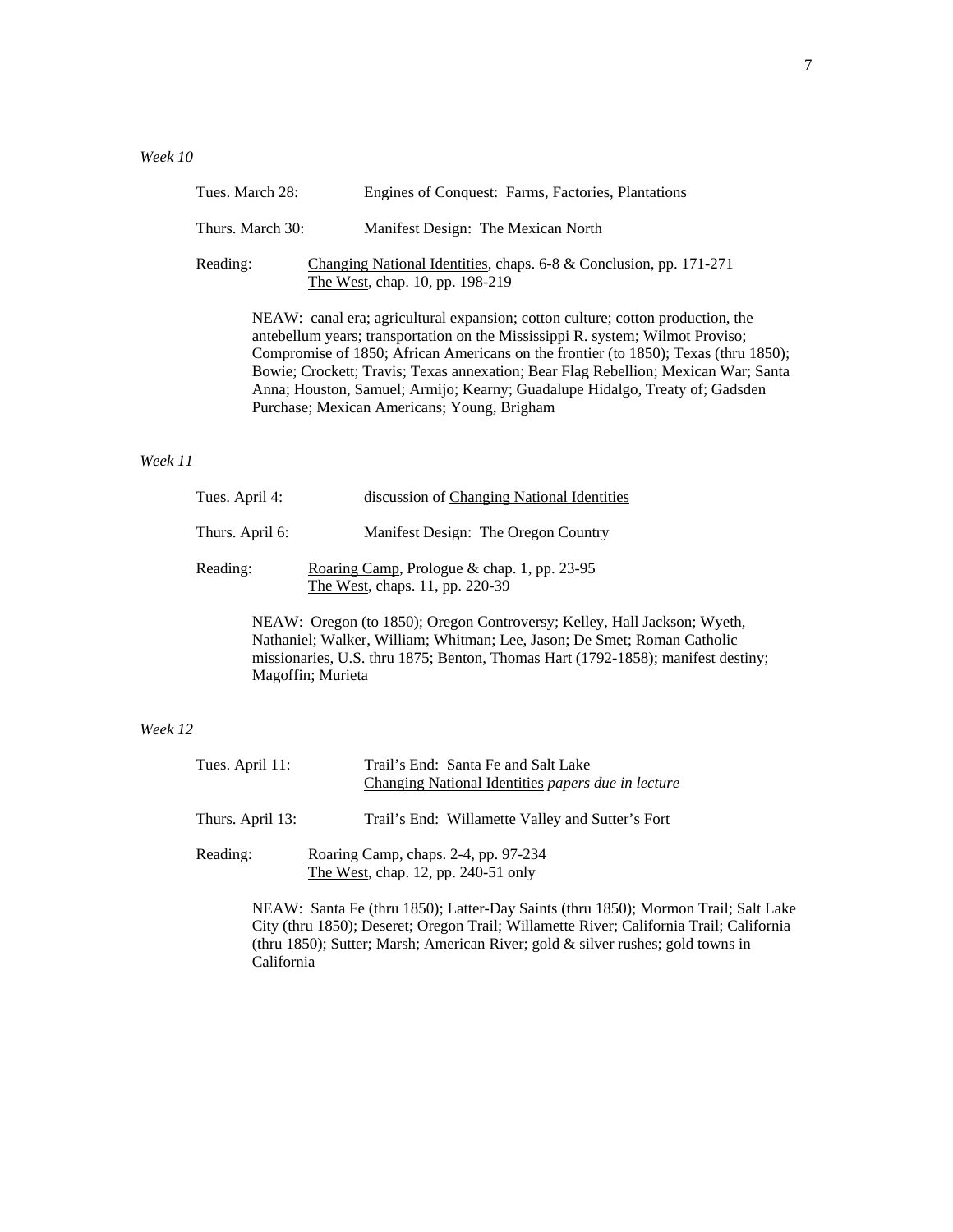| Tues. March 28:                                                                                                                                                                                                                                                                                                                                                                                                                                                               | Engines of Conquest: Farms, Factories, Plantations                                                      |
|-------------------------------------------------------------------------------------------------------------------------------------------------------------------------------------------------------------------------------------------------------------------------------------------------------------------------------------------------------------------------------------------------------------------------------------------------------------------------------|---------------------------------------------------------------------------------------------------------|
| Thurs. March 30:                                                                                                                                                                                                                                                                                                                                                                                                                                                              | Manifest Design: The Mexican North                                                                      |
| Reading:                                                                                                                                                                                                                                                                                                                                                                                                                                                                      | Changing National Identities, chaps. $6-8$ & Conclusion, pp. 171-271<br>The West, chap. 10, pp. 198-219 |
| NEAW: canal era; agricultural expansion; cotton culture; cotton production, the<br>antebellum years; transportation on the Mississippi R. system; Wilmot Proviso;<br>Compromise of 1850; African Americans on the frontier (to 1850); Texas (thru 1850);<br>Bowie; Crockett; Travis; Texas annexation; Bear Flag Rebellion; Mexican War; Santa<br>Anna; Houston, Samuel; Armijo; Kearny; Guadalupe Hidalgo, Treaty of; Gadsden<br>Purchase; Mexican Americans; Young, Brigham |                                                                                                         |

## *Week 11*

| Tues. April 4:  | discussion of Changing National Identities                                     |
|-----------------|--------------------------------------------------------------------------------|
| Thurs. April 6: | Manifest Design: The Oregon Country                                            |
| Reading:        | Roaring Camp, Prologue & chap. 1, pp. 23-95<br>The West, chaps. 11, pp. 220-39 |
|                 | $\sim$ 40.000 $\sim$                                                           |

NEAW: Oregon (to 1850); Oregon Controversy; Kelley, Hall Jackson; Wyeth, Nathaniel; Walker, William; Whitman; Lee, Jason; De Smet; Roman Catholic missionaries, U.S. thru 1875; Benton, Thomas Hart (1792-1858); manifest destiny; Magoffin; Murieta

# *Week 12*

| Tues. April 11:  | Trail's End: Santa Fe and Salt Lake<br>Changing National Identities papers due in lecture |
|------------------|-------------------------------------------------------------------------------------------|
| Thurs. April 13: | Trail's End: Willamette Valley and Sutter's Fort                                          |
| Reading:         | Roaring Camp, chaps. 2-4, pp. 97-234<br>The West, chap. 12, pp. 240-51 only               |

NEAW: Santa Fe (thru 1850); Latter-Day Saints (thru 1850); Mormon Trail; Salt Lake City (thru 1850); Deseret; Oregon Trail; Willamette River; California Trail; California (thru 1850); Sutter; Marsh; American River; gold & silver rushes; gold towns in California